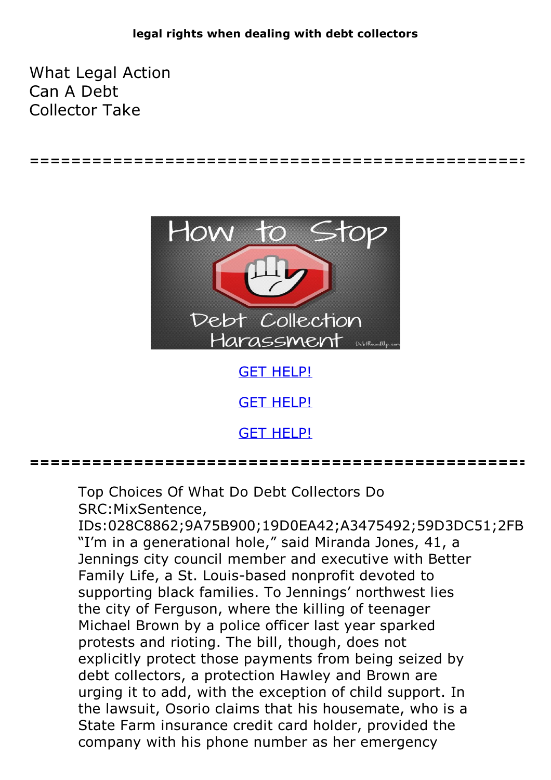**================================================**

What Legal Action Can A Debt Collector Take



GET [HELP!](https://runpdf.xyz/pdf)

GET [HELP!](https://runpdf.xyz/pdf)

GET [HELP!](https://runpdf.xyz/pdf)

**================================================**

Top Choices Of What Do Debt Collectors Do SRC:MixSentence,

IDs:028C8862;9A75B900;19D0EA42;A3475492;59D3DC51;2FB "I'm in a generational hole," said Miranda Jones, 41, a Jennings city council member and executive with Better Family Life, a St. Louis-based nonprofit devoted to supporting black families. To Jennings' northwest lies the city of Ferguson, where the killing of teenager Michael Brown by a police officer last year sparked protests and rioting. The bill, though, does not explicitly protect those payments from being seized by debt collectors, a protection Hawley and Brown are urging it to add, with the exception of child support. In the lawsuit, Osorio claims that his housemate, who is a State Farm insurance credit card holder, provided the company with his phone number as her emergency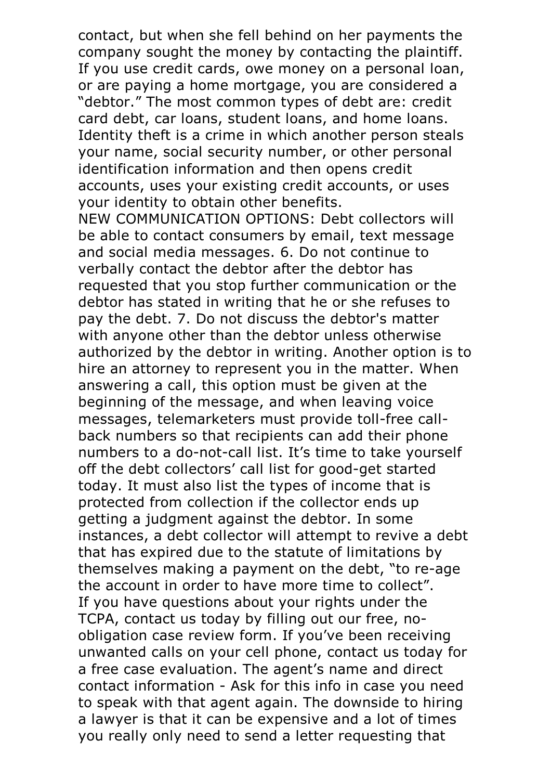contact, but when she fell behind on her payments the company sought the money by contacting the plaintiff. If you use credit cards, owe money on a personal loan, or are paying a home mortgage, you are considered a "debtor." The most common types of debt are: credit card debt, car loans, student loans, and home loans. Identity theft is a crime in which another person steals your name, social security number, or other personal identification information and then opens credit accounts, uses your existing credit accounts, or uses your identity to obtain other benefits. NEW COMMUNICATION OPTIONS: Debt collectors will

be able to contact consumers by email, text message and social media messages. 6. Do not continue to verbally contact the debtor after the debtor has requested that you stop further communication or the debtor has stated in writing that he or she refuses to pay the debt. 7. Do not discuss the debtor's matter with anyone other than the debtor unless otherwise authorized by the debtor in writing. Another option is to hire an attorney to represent you in the matter. When answering a call, this option must be given at the beginning of the message, and when leaving voice messages, telemarketers must provide toll-free call- back numbers so that recipients can add their phone numbers to a do-not-call list. It's time to take yourself off the debt collectors' call list for good-get started today. It must also list the types of income that is protected from collection if the collector ends up getting a judgment against the debtor. In some instances, a debt collector will attempt to revive a debt that has expired due to the statute of limitations by themselves making a payment on the debt, "to re-age the account in order to have more time to collect". If you have questions about your rights under the TCPA, contact us today by filling out our free, noobligation case review form. If you've been receiving unwanted calls on your cell phone, contact us today for a free case evaluation. The agent's name and direct contact information - Ask for this info in case you need to speak with that agent again. The downside to hiring a lawyer is that it can be expensive and a lot of times you really only need to send a letter requesting that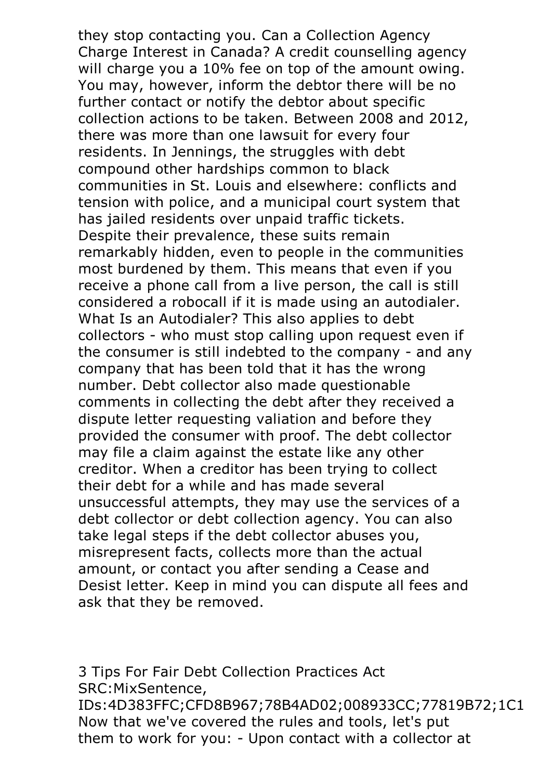they stop contacting you. Can a Collection Agency Charge Interest in Canada? A credit counselling agency will charge you a 10% fee on top of the amount owing.<br>You may, however, inform the debtor there will be no further contact or notify the debtor about specific collection actions to be taken. Between 2008 and 2012, there was more than one lawsuit for every four residents. In Jennings, the struggles with debt compound other hardships common to black communities in St. Louis and elsewhere: conflicts and tension with police, and a municipal court system that has jailed residents over unpaid traffic tickets. Despite their prevalence, these suits remain remarkably hidden, even to people in the communities most burdened by them. This means that even if you receive a phone call from a live person, the call is still considered <sup>a</sup> robocall if it is made using an autodialer. What Is an Autodialer? This also applies to debt collectors - who must stop calling upon request even if the consumer is still indebted to the company - and any company that has been told that it has the wrong number. Debt collector also made questionable comments in collecting the debt after they received a dispute letter requesting valiation and before they provided the consumer with proof. The debt collector may file a claim against the estate like any other creditor. When a creditor has been trying to collect their debt for a while and has made several unsuccessful attempts, they may use the services of a debt collector or debt collection agency. You can also take legal steps if the debt collector abuses you, misrepresent facts, collects more than the actual amount, or contact you after sending a Cease and Desist letter. Keep in mind you can dispute all fees and ask that they be removed.

3 Tips For Fair Debt Collection Practices Act SRC:MixSentence, IDs:4D383FFC;CFD8B967;78B4AD02;008933CC;77819B72;1C1 Now that we've covered the rules and tools, let's put them to work for you: - Upon contact with a collector at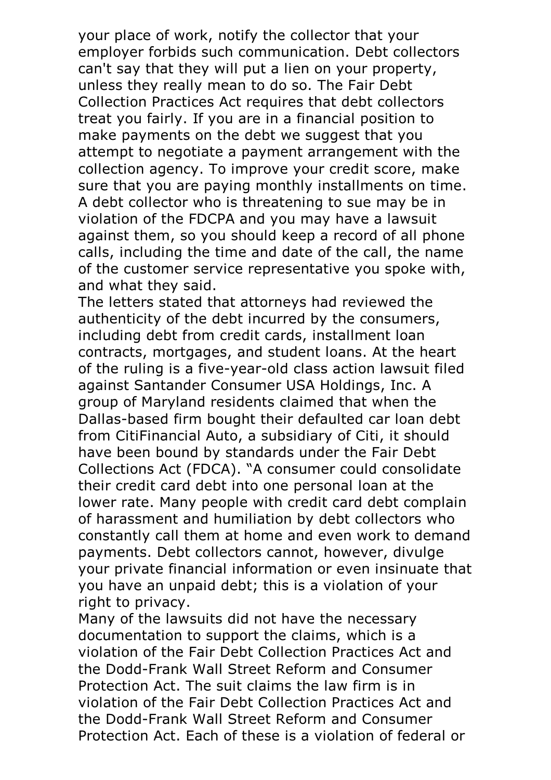your place of work, notify the collector that your employer forbids such communication. Debt collectors can't say that they will put a lien on your property, unless they really mean to do so. The Fair Debt Collection Practices Act requires that debt collectors treat you fairly. If you are in a financial position to make payments on the debt we suggest that you attempt to negotiate a payment arrangement with the collection agency. To improve your credit score, make sure that you are paying monthly installments on time.<br>A debt collector who is threatening to sue may be in violation of the FDCPA and you may have a lawsuit against them, so you should keep a record of all phone calls, including the time and date of the call, the name of the customer service representative you spoke with, and what they said. The letters stated that attorneys had reviewed the

authenticity of the debt incurred by the consumers, including debt from credit cards, installment loan contracts, mortgages, and student loans. At the heart of the ruling is a five-year-old class action lawsuit filed against Santander Consumer USA Holdings, Inc. A group of Maryland residents claimed that when the Dallas-based firm bought their defaulted car loan debt from CitiFinancial Auto, a subsidiary of Citi, it should have been bound by standards under the Fair Debt Collections Act (FDCA). "A consumer could consolidate their credit card debt into one personal loan at the lower rate. Many people with credit card debt complain of harassment and humiliation by debt collectors who constantly call them at home and even work to demand payments. Debt collectors cannot, however, divulge your private financial information or even insinuate that you have an unpaid debt; this is a violation of your right to privacy.<br>Many of the lawsuits did not have the necessary

documentation to support the claims, which is a violation of the Fair Debt Collection Practices Act and the Dodd-Frank Wall Street Reform and Consumer Protection Act. The suit claims the law firm is in violation of the Fair Debt Collection Practices Act and the Dodd-Frank Wall Street Reform and Consumer Protection Act. Each of these is a violation of federal or